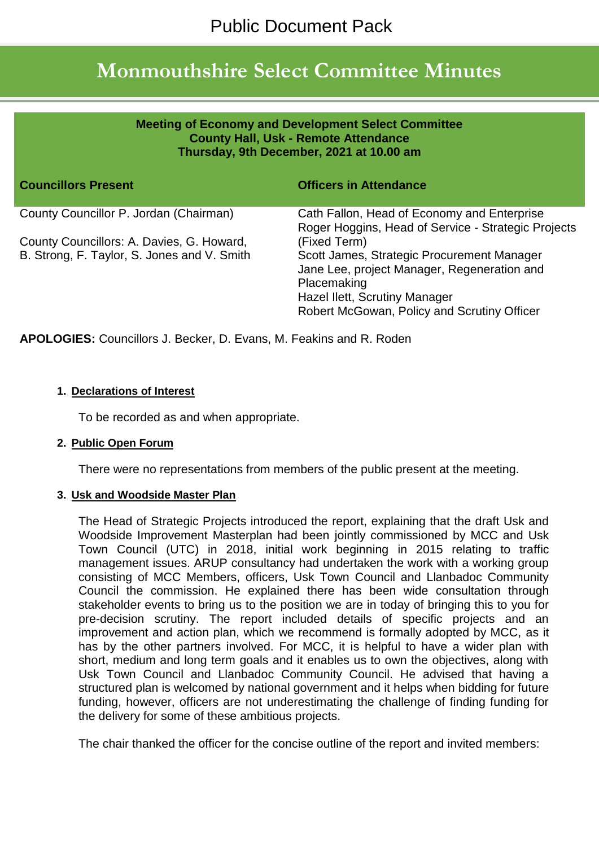# **Monmouthshire Select Committee Minutes**

| <b>Meeting of Economy and Development Select Committee</b><br><b>County Hall, Usk - Remote Attendance</b><br>Thursday, 9th December, 2021 at 10.00 am |                                                                                                                                                                                                          |
|-------------------------------------------------------------------------------------------------------------------------------------------------------|----------------------------------------------------------------------------------------------------------------------------------------------------------------------------------------------------------|
| <b>Councillors Present</b>                                                                                                                            | <b>Officers in Attendance</b>                                                                                                                                                                            |
| County Councillor P. Jordan (Chairman)                                                                                                                | Cath Fallon, Head of Economy and Enterprise<br>Roger Hoggins, Head of Service - Strategic Projects                                                                                                       |
| County Councillors: A. Davies, G. Howard,<br>B. Strong, F. Taylor, S. Jones and V. Smith                                                              | (Fixed Term)<br>Scott James, Strategic Procurement Manager<br>Jane Lee, project Manager, Regeneration and<br>Placemaking<br>Hazel Ilett, Scrutiny Manager<br>Robert McGowan, Policy and Scrutiny Officer |

**APOLOGIES:** Councillors J. Becker, D. Evans, M. Feakins and R. Roden

## **1. Declarations of Interest**

To be recorded as and when appropriate.

## **2. Public Open Forum**

There were no representations from members of the public present at the meeting.

## **3. Usk and Woodside Master Plan**

The Head of Strategic Projects introduced the report, explaining that the draft Usk and Woodside Improvement Masterplan had been jointly commissioned by MCC and Usk Town Council (UTC) in 2018, initial work beginning in 2015 relating to traffic management issues. ARUP consultancy had undertaken the work with a working group consisting of MCC Members, officers, Usk Town Council and Llanbadoc Community Council the commission. He explained there has been wide consultation through stakeholder events to bring us to the position we are in today of bringing this to you for pre-decision scrutiny. The report included details of specific projects and an improvement and action plan, which we recommend is formally adopted by MCC, as it has by the other partners involved. For MCC, it is helpful to have a wider plan with short, medium and long term goals and it enables us to own the objectives, along with Usk Town Council and Llanbadoc Community Council. He advised that having a structured plan is welcomed by national government and it helps when bidding for future funding, however, officers are not underestimating the challenge of finding funding for the delivery for some of these ambitious projects.

The chair thanked the officer for the concise outline of the report and invited members: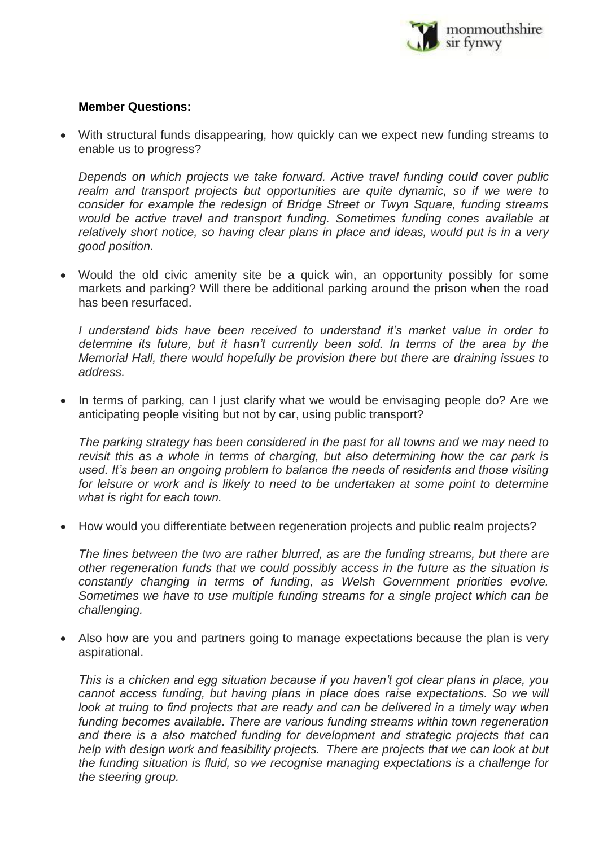

## **Member Questions:**

 With structural funds disappearing, how quickly can we expect new funding streams to enable us to progress?

*Depends on which projects we take forward. Active travel funding could cover public realm and transport projects but opportunities are quite dynamic, so if we were to consider for example the redesign of Bridge Street or Twyn Square, funding streams would be active travel and transport funding. Sometimes funding cones available at relatively short notice, so having clear plans in place and ideas, would put is in a very good position.* 

 Would the old civic amenity site be a quick win, an opportunity possibly for some markets and parking? Will there be additional parking around the prison when the road has been resurfaced.

*I* understand bids have been received to understand it's market value in order to determine its future, but it hasn't currently been sold. In terms of the area by the *Memorial Hall, there would hopefully be provision there but there are draining issues to address.* 

• In terms of parking, can I just clarify what we would be envisaging people do? Are we anticipating people visiting but not by car, using public transport?

*The parking strategy has been considered in the past for all towns and we may need to revisit this as a whole in terms of charging, but also determining how the car park is used. It's been an ongoing problem to balance the needs of residents and those visiting*  for leisure or work and is likely to need to be undertaken at some point to determine *what is right for each town.*

How would you differentiate between regeneration projects and public realm projects?

*The lines between the two are rather blurred, as are the funding streams, but there are other regeneration funds that we could possibly access in the future as the situation is constantly changing in terms of funding, as Welsh Government priorities evolve. Sometimes we have to use multiple funding streams for a single project which can be challenging.* 

 Also how are you and partners going to manage expectations because the plan is very aspirational.

*This is a chicken and egg situation because if you haven't got clear plans in place, you cannot access funding, but having plans in place does raise expectations. So we will look at truing to find projects that are ready and can be delivered in a timely way when funding becomes available. There are various funding streams within town regeneration and there is a also matched funding for development and strategic projects that can help with design work and feasibility projects. There are projects that we can look at but the funding situation is fluid, so we recognise managing expectations is a challenge for the steering group.*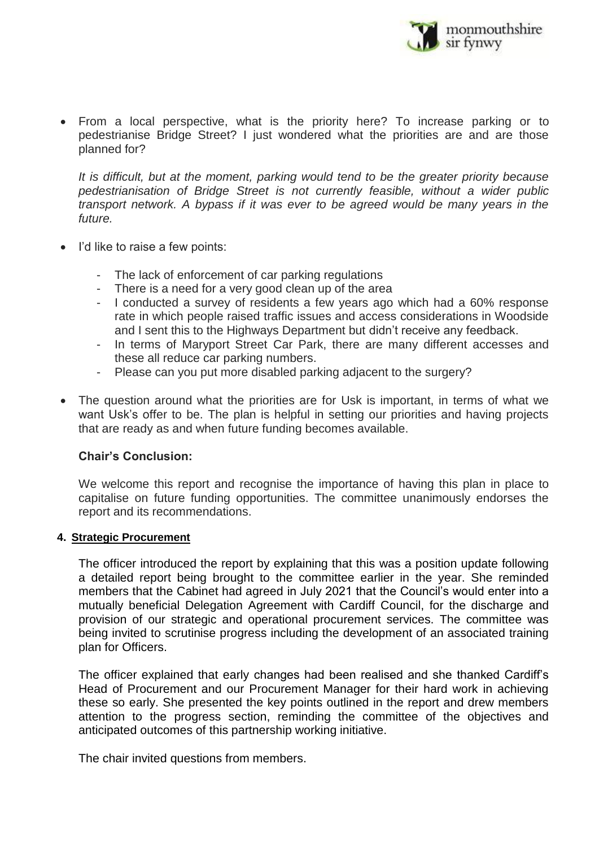

 From a local perspective, what is the priority here? To increase parking or to pedestrianise Bridge Street? I just wondered what the priorities are and are those planned for?

*It is difficult, but at the moment, parking would tend to be the greater priority because pedestrianisation of Bridge Street is not currently feasible, without a wider public transport network. A bypass if it was ever to be agreed would be many years in the future.*

- I'd like to raise a few points:
	- The lack of enforcement of car parking regulations
	- There is a need for a very good clean up of the area
	- I conducted a survey of residents a few years ago which had a 60% response rate in which people raised traffic issues and access considerations in Woodside and I sent this to the Highways Department but didn't receive any feedback.
	- In terms of Maryport Street Car Park, there are many different accesses and these all reduce car parking numbers.
	- Please can you put more disabled parking adjacent to the surgery?
- The question around what the priorities are for Usk is important, in terms of what we want Usk's offer to be. The plan is helpful in setting our priorities and having projects that are ready as and when future funding becomes available.

## **Chair's Conclusion:**

We welcome this report and recognise the importance of having this plan in place to capitalise on future funding opportunities. The committee unanimously endorses the report and its recommendations.

## **4. Strategic Procurement**

The officer introduced the report by explaining that this was a position update following a detailed report being brought to the committee earlier in the year. She reminded members that the Cabinet had agreed in July 2021 that the Council's would enter into a mutually beneficial Delegation Agreement with Cardiff Council, for the discharge and provision of our strategic and operational procurement services. The committee was being invited to scrutinise progress including the development of an associated training plan for Officers.

The officer explained that early changes had been realised and she thanked Cardiff's Head of Procurement and our Procurement Manager for their hard work in achieving these so early. She presented the key points outlined in the report and drew members attention to the progress section, reminding the committee of the objectives and anticipated outcomes of this partnership working initiative.

The chair invited questions from members.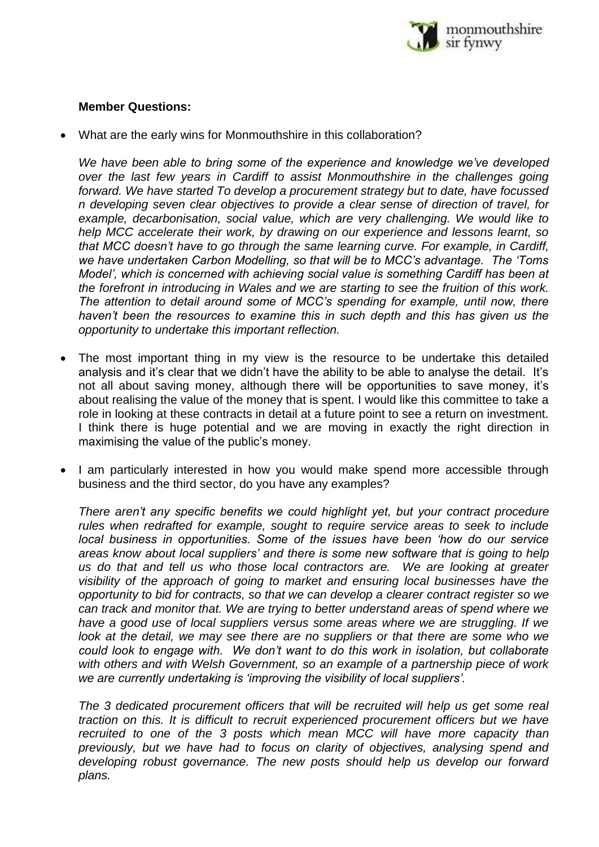

## **Member Questions:**

What are the early wins for Monmouthshire in this collaboration?

We have been able to bring some of the experience and knowledge we've developed *over the last few years in Cardiff to assist Monmouthshire in the challenges going forward. We have started To develop a procurement strategy but to date, have focussed n developing seven clear objectives to provide a clear sense of direction of travel, for example, decarbonisation, social value, which are very challenging. We would like to help MCC accelerate their work, by drawing on our experience and lessons learnt, so that MCC doesn't have to go through the same learning curve. For example, in Cardiff, we have undertaken Carbon Modelling, so that will be to MCC's advantage. The 'Toms Model', which is concerned with achieving social value is something Cardiff has been at the forefront in introducing in Wales and we are starting to see the fruition of this work. The attention to detail around some of MCC's spending for example, until now, there haven't been the resources to examine this in such depth and this has given us the opportunity to undertake this important reflection.* 

- The most important thing in my view is the resource to be undertake this detailed analysis and it's clear that we didn't have the ability to be able to analyse the detail. It's not all about saving money, although there will be opportunities to save money, it's about realising the value of the money that is spent. I would like this committee to take a role in looking at these contracts in detail at a future point to see a return on investment. I think there is huge potential and we are moving in exactly the right direction in maximising the value of the public's money.
- I am particularly interested in how you would make spend more accessible through business and the third sector, do you have any examples?

*There aren't any specific benefits we could highlight yet, but your contract procedure rules when redrafted for example, sought to require service areas to seek to include local business in opportunities. Some of the issues have been 'how do our service areas know about local suppliers' and there is some new software that is going to help us do that and tell us who those local contractors are. We are looking at greater visibility of the approach of going to market and ensuring local businesses have the opportunity to bid for contracts, so that we can develop a clearer contract register so we can track and monitor that. We are trying to better understand areas of spend where we have a good use of local suppliers versus some areas where we are struggling. If we look at the detail, we may see there are no suppliers or that there are some who we could look to engage with. We don't want to do this work in isolation, but collaborate with others and with Welsh Government, so an example of a partnership piece of work we are currently undertaking is 'improving the visibility of local suppliers'.* 

*The 3 dedicated procurement officers that will be recruited will help us get some real traction on this. It is difficult to recruit experienced procurement officers but we have recruited to one of the 3 posts which mean MCC will have more capacity than previously, but we have had to focus on clarity of objectives, analysing spend and developing robust governance. The new posts should help us develop our forward plans.*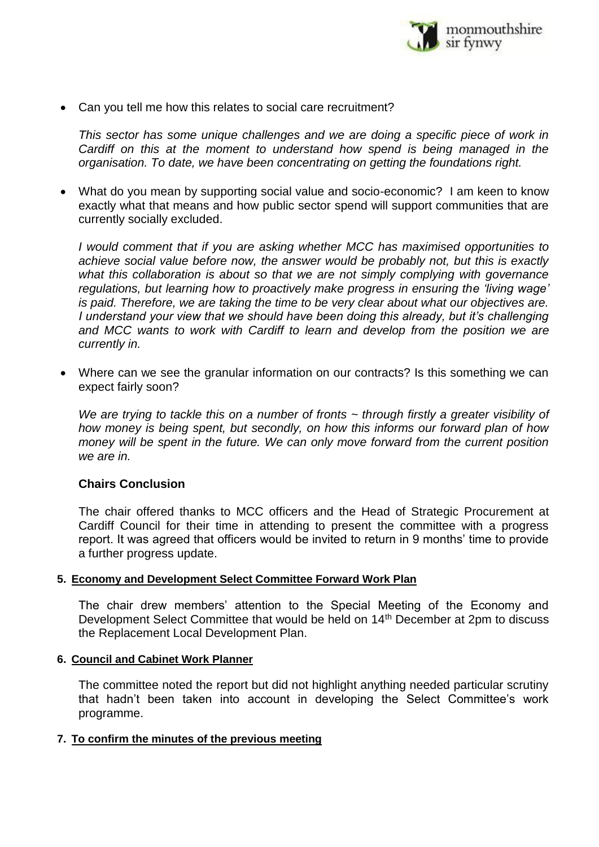

Can you tell me how this relates to social care recruitment?

*This sector has some unique challenges and we are doing a specific piece of work in Cardiff on this at the moment to understand how spend is being managed in the organisation. To date, we have been concentrating on getting the foundations right.* 

 What do you mean by supporting social value and socio-economic? I am keen to know exactly what that means and how public sector spend will support communities that are currently socially excluded.

*I would comment that if you are asking whether MCC has maximised opportunities to achieve social value before now, the answer would be probably not, but this is exactly what this collaboration is about so that we are not simply complying with governance regulations, but learning how to proactively make progress in ensuring the 'living wage' is paid. Therefore, we are taking the time to be very clear about what our objectives are. I understand your view that we should have been doing this already, but it's challenging and MCC wants to work with Cardiff to learn and develop from the position we are currently in.*

 Where can we see the granular information on our contracts? Is this something we can expect fairly soon?

*We are trying to tackle this on a number of fronts ~ through firstly a greater visibility of how money is being spent, but secondly, on how this informs our forward plan of how money will be spent in the future. We can only move forward from the current position we are in.* 

## **Chairs Conclusion**

The chair offered thanks to MCC officers and the Head of Strategic Procurement at Cardiff Council for their time in attending to present the committee with a progress report. It was agreed that officers would be invited to return in 9 months' time to provide a further progress update.

## **5. Economy and Development Select Committee Forward Work Plan**

The chair drew members' attention to the Special Meeting of the Economy and Development Select Committee that would be held on 14<sup>th</sup> December at 2pm to discuss the Replacement Local Development Plan.

## **6. Council and Cabinet Work Planner**

The committee noted the report but did not highlight anything needed particular scrutiny that hadn't been taken into account in developing the Select Committee's work programme.

## **7. To confirm the minutes of the previous meeting**